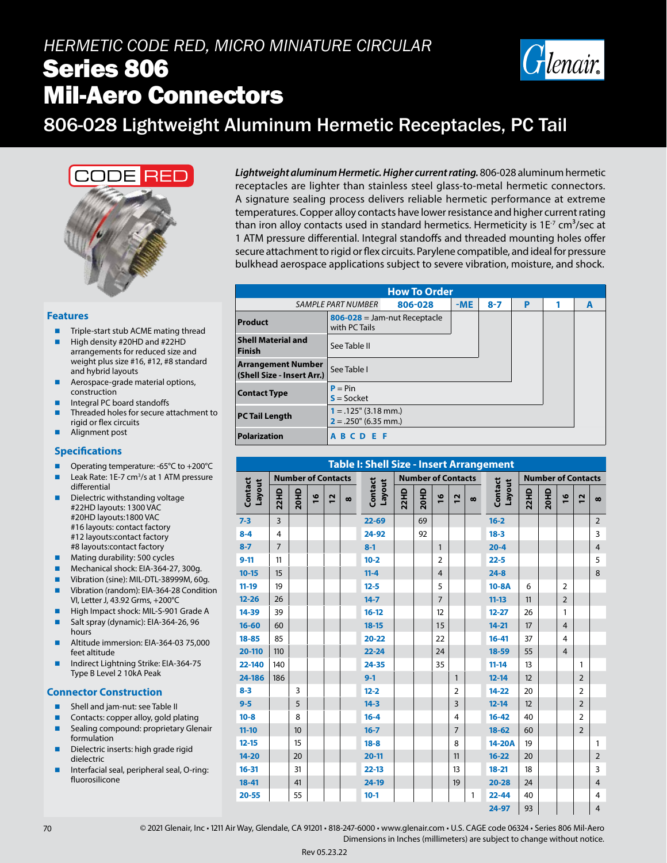## *HERMETIC CODE RED, MICRO MINIATURE CIRCULAR* Series 806 Mil-Aero Connectors



## 806-028 Lightweight Aluminum Hermetic Receptacles, PC Tail



#### **Features**

- Triple-start stub ACME mating thread
- High density #20HD and #22HD arrangements for reduced size and weight plus size #16, #12, #8 standard and hybrid layouts
- Aerospace-grade material options, construction
- Integral PC board standoffs
- Threaded holes for secure attachment to rigid or flex circuits
- Alignment post

#### **Specifications**

- Operating temperature: -65°C to +200°C
- $\blacksquare$  Leak Rate: 1E-7 cm<sup>3</sup>/s at 1 ATM pressure differential
- Dielectric withstanding voltage #22HD layouts: 1300 VAC #20HD layouts:1800 VAC #16 layouts: contact factory #12 layouts:contact factory #8 layouts:contact factory
- Mating durability: 500 cycles
- Mechanical shock: EIA-364-27, 300g.
- Vibration (sine): MIL-DTL-38999M, 60g.
- Vibration (random): EIA-364-28 Condition VI, Letter J, 43.92 Grms, +200°C
- High Impact shock: MIL-S-901 Grade A Salt spray (dynamic): EIA-364-26, 96 hours
- Altitude immersion: EIA-364-03 75,000 feet altitude
- Indirect Lightning Strike: EIA-364-75 Type B Level 2 10kA Peak

#### **Connector Construction**

- **Shell and jam-nut: see Table II**
- Contacts: copper alloy, gold plating Sealing compound: proprietary Glenair
- formulation
- Dielectric inserts: high grade rigid dielectric
- Interfacial seal, peripheral seal, O-ring: fluorosilicone

*Lightweight aluminum Hermetic. Higher current rating.* 806-028 aluminum hermetic receptacles are lighter than stainless steel glass-to-metal hermetic connectors. A signature sealing process delivers reliable hermetic performance at extreme temperatures. Copper alloy contacts have lower resistance and higher current rating than iron alloy contacts used in standard hermetics. Hermeticity is  $1E<sup>7</sup>$  cm<sup>3</sup>/sec at 1 ATM pressure differential. Integral standoffs and threaded mounting holes offer secure attachment to rigid or flex circuits. Parylene compatible, and ideal for pressure bulkhead aerospace applications subject to severe vibration, moisture, and shock.

| <b>How To Order</b>                                      |                                                    |  |  |  |  |   |   |  |  |
|----------------------------------------------------------|----------------------------------------------------|--|--|--|--|---|---|--|--|
| 806-028<br>$-ME$<br><b>SAMPLE PART NUMBER</b><br>$8 - 7$ |                                                    |  |  |  |  | 1 | A |  |  |
| Product                                                  | $806 - 028 =$ Jam-nut Receptacle<br>with PC Tails  |  |  |  |  |   |   |  |  |
| <b>Shell Material and</b><br>Finish                      | See Table II                                       |  |  |  |  |   |   |  |  |
| <b>Arrangement Number</b><br>(Shell Size - Insert Arr.)  | See Table I                                        |  |  |  |  |   |   |  |  |
| <b>Contact Type</b>                                      | $P = Pin$<br>$S = S$ ocket                         |  |  |  |  |   |   |  |  |
| <b>PC Tail Length</b>                                    | $1 = .125$ " (3.18 mm.)<br>$2 = .250$ " (6.35 mm.) |  |  |  |  |   |   |  |  |
| Polarization                                             | <b>ABCDEF</b>                                      |  |  |  |  |   |   |  |  |

| <b>Table I: Shell Size - Insert Arrangement</b> |                           |      |               |                           |   |                   |             |      |                |                           |          |                   |             |      |                |                |                |
|-------------------------------------------------|---------------------------|------|---------------|---------------------------|---|-------------------|-------------|------|----------------|---------------------------|----------|-------------------|-------------|------|----------------|----------------|----------------|
|                                                 | <b>Number of Contacts</b> |      |               | <b>Number of Contacts</b> |   |                   |             |      |                | <b>Number of Contacts</b> |          |                   |             |      |                |                |                |
| Contact<br>Layout                               | <b>22HD</b>               | 20HD | $\frac{8}{1}$ | $\overline{1}$            | ထ | Contact<br>Layout | <b>22HD</b> | 20HD | $\frac{6}{2}$  | $\overline{1}$            | $\infty$ | Contact<br>Layout | <b>22HD</b> | 20HD | $\frac{8}{1}$  | 12             | $\infty$       |
| $7 - 3$                                         | $\overline{3}$            |      |               |                           |   | $22 - 69$         |             | 69   |                |                           |          | $16 - 2$          |             |      |                |                | $\overline{2}$ |
| $8 - 4$                                         | 4                         |      |               |                           |   | 24-92             |             | 92   |                |                           |          | $18 - 3$          |             |      |                |                | 3              |
| $8 - 7$                                         | $\overline{7}$            |      |               |                           |   | $8 - 1$           |             |      | $\mathbf{1}$   |                           |          | $20 - 4$          |             |      |                |                | $\overline{4}$ |
| $9 - 11$                                        | 11                        |      |               |                           |   | $10 - 2$          |             |      | $\overline{2}$ |                           |          | $22 - 5$          |             |      |                |                | 5              |
| $10 - 15$                                       | 15                        |      |               |                           |   | $11 - 4$          |             |      | $\overline{4}$ |                           |          | $24 - 8$          |             |      |                |                | 8              |
| $11-19$                                         | 19                        |      |               |                           |   | $12 - 5$          |             |      | 5              |                           |          | $10-8A$           | 6           |      | 2              |                |                |
| $12 - 26$                                       | 26                        |      |               |                           |   | $14 - 7$          |             |      | $\overline{7}$ |                           |          | $11 - 13$         | 11          |      | $\overline{2}$ |                |                |
| 14-39                                           | 39                        |      |               |                           |   | $16 - 12$         |             |      | 12             |                           |          | $12 - 27$         | 26          |      | $\mathbf{1}$   |                |                |
| $16 - 60$                                       | 60                        |      |               |                           |   | $18 - 15$         |             |      | 15             |                           |          | $14 - 21$         | 17          |      | $\overline{4}$ |                |                |
| $18 - 85$                                       | 85                        |      |               |                           |   | $20 - 22$         |             |      | 22             |                           |          | $16 - 41$         | 37          |      | 4              |                |                |
| 20-110                                          | 110                       |      |               |                           |   | $22 - 24$         |             |      | 24             |                           |          | 18-59             | 55          |      | $\overline{4}$ |                |                |
| 22-140                                          | 140                       |      |               |                           |   | 24-35             |             |      | 35             |                           |          | $11 - 14$         | 13          |      |                | 1              |                |
| 24-186                                          | 186                       |      |               |                           |   | $9 - 1$           |             |      |                | 1                         |          | $12 - 14$         | 12          |      |                | $\overline{2}$ |                |
| $8 - 3$                                         |                           | 3    |               |                           |   | $12 - 2$          |             |      |                | 2                         |          | 14-22             | 20          |      |                | $\overline{2}$ |                |
| $9 - 5$                                         |                           | 5    |               |                           |   | $14 - 3$          |             |      |                | 3                         |          | $12 - 14$         | 12          |      |                | $\overline{2}$ |                |
| $10 - 8$                                        |                           | 8    |               |                           |   | $16 - 4$          |             |      |                | 4                         |          | $16 - 42$         | 40          |      |                | $\overline{2}$ |                |
| $11 - 10$                                       |                           | 10   |               |                           |   | $16 - 7$          |             |      |                | $\overline{7}$            |          | $18 - 62$         | 60          |      |                | $\overline{2}$ |                |
| $12 - 15$                                       |                           | 15   |               |                           |   | $18 - 8$          |             |      |                | 8                         |          | 14-20A            | 19          |      |                |                | 1              |
| $14 - 20$                                       |                           | 20   |               |                           |   | $20 - 11$         |             |      |                | 11                        |          | $16 - 22$         | 20          |      |                |                | $\overline{2}$ |
| $16 - 31$                                       |                           | 31   |               |                           |   | $22 - 13$         |             |      |                | 13                        |          | $18 - 21$         | 18          |      |                |                | 3              |
| $18 - 41$                                       |                           | 41   |               |                           |   | 24-19             |             |      |                | 19                        |          | $20 - 28$         | 24          |      |                |                | $\overline{4}$ |
| $20 - 55$                                       |                           | 55   |               |                           |   | $10-1$            |             |      |                |                           | 1        | $22 - 44$         | 40          |      |                |                | 4              |
|                                                 |                           |      |               |                           |   |                   |             |      |                |                           |          | 24-97             | 93          |      |                |                | $\overline{4}$ |

70 © 2021 Glenair, Inc • 1211 Air Way, Glendale, CA 91201 • 818-247-6000 • www.glenair.com • U.S. CAGE code 06324 • Series 806 Mil-Aero Dimensions in Inches (millimeters) are subject to change without notice.